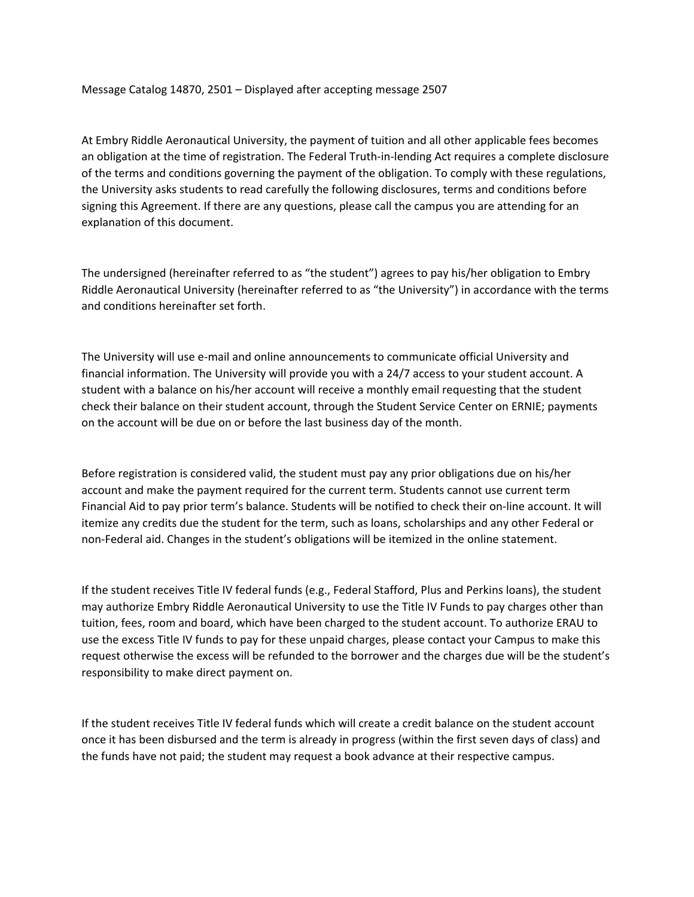Message Catalog 14870, 2501 – Displayed after accepting message 2507

At Embry Riddle Aeronautical University, the payment of tuition and all other applicable fees becomes an obligation at the time of registration. The Federal Truth-in-lending Act requires a complete disclosure of the terms and conditions governing the payment of the obligation. To comply with these regulations, the University asks students to read carefully the following disclosures, terms and conditions before signing this Agreement. If there are any questions, please call the campus you are attending for an explanation of this document.

The undersigned (hereinafter referred to as "the student") agrees to pay his/her obligation to Embry Riddle Aeronautical University (hereinafter referred to as "the University") in accordance with the terms and conditions hereinafter set forth.

The University will use e-mail and online announcements to communicate official University and financial information. The University will provide you with a 24/7 access to your student account. A student with a balance on his/her account will receive a monthly email requesting that the student check their balance on their student account, through the Student Service Center on ERNIE; payments on the account will be due on or before the last business day of the month.

Before registration is considered valid, the student must pay any prior obligations due on his/her account and make the payment required for the current term. Students cannot use current term Financial Aid to pay prior term's balance. Students will be notified to check their on-line account. It will itemize any credits due the student for the term, such as loans, scholarships and any other Federal or non-Federal aid. Changes in the student's obligations will be itemized in the online statement.

If the student receives Title IV federal funds (e.g., Federal Stafford, Plus and Perkins loans), the student may authorize Embry Riddle Aeronautical University to use the Title IV Funds to pay charges other than tuition, fees, room and board, which have been charged to the student account. To authorize ERAU to use the excess Title IV funds to pay for these unpaid charges, please contact your Campus to make this request otherwise the excess will be refunded to the borrower and the charges due will be the student's responsibility to make direct payment on.

If the student receives Title IV federal funds which will create a credit balance on the student account once it has been disbursed and the term is already in progress (within the first seven days of class) and the funds have not paid; the student may request a book advance at their respective campus.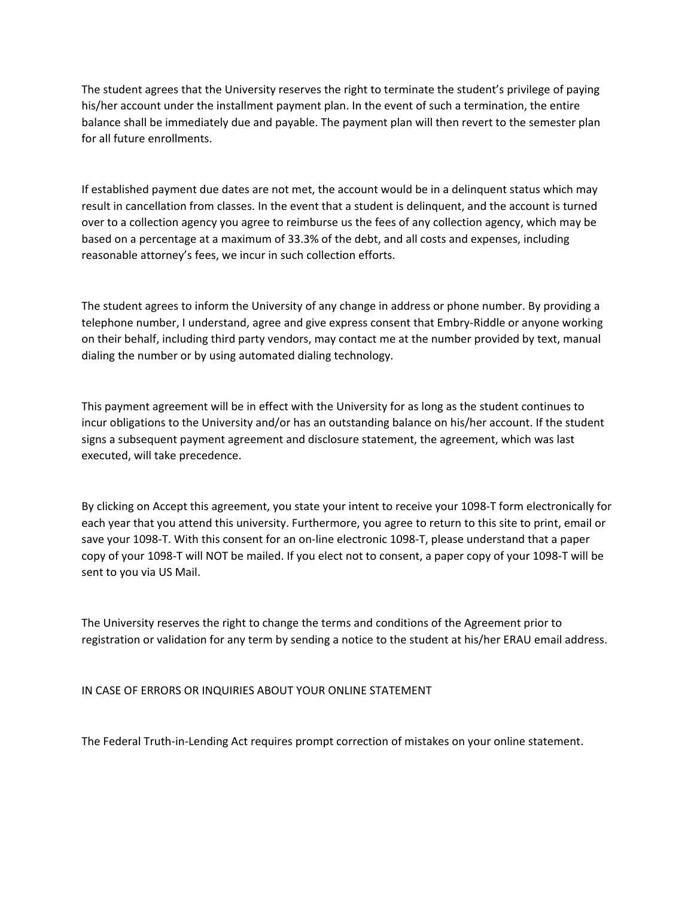The student agrees that the University reserves the right to terminate the student's privilege of paying his/her account under the installment payment plan. In the event of such a termination, the entire balance shall be immediately due and payable. The payment plan will then revert to the semester plan for all future enrollments.

If established payment due dates are not met, the account would be in a delinquent status which may result in cancellation from classes. In the event that a student is delinquent, and the account is turned over to a collection agency you agree to reimburse us the fees of any collection agency, which may be based on a percentage at a maximum of 33.3% of the debt, and all costs and expenses, including reasonable attorney's fees, we incur in such collection efforts.

The student agrees to inform the University of any change in address or phone number. By providing a telephone number, I understand, agree and give express consent that Embry-Riddle or anyone working on their behalf, including third party vendors, may contact me at the number provided by text, manual dialing the number or by using automated dialing technology.

This payment agreement will be in effect with the University for as long as the student continues to incur obligations to the University and/or has an outstanding balance on his/her account. If the student signs a subsequent payment agreement and disclosure statement, the agreement, which was last executed, will take precedence.

By clicking on Accept this agreement, you state your intent to receive your 1098-T form electronically for each year that you attend this university. Furthermore, you agree to return to this site to print, email or save your 1098-T. With this consent for an on-line electronic 1098-T, please understand that a paper copy of your 1098-T will NOT be mailed. If you elect not to consent, a paper copy of your 1098-T will be sent to you via US Mail.

The University reserves the right to change the terms and conditions of the Agreement prior to registration or validation for any term by sending a notice to the student at his/her ERAU email address.

IN CASE OF ERRORS OR INQUIRIES ABOUT YOUR ONLINE STATEMENT

The Federal Truth-in-Lending Act requires prompt correction of mistakes on your online statement.